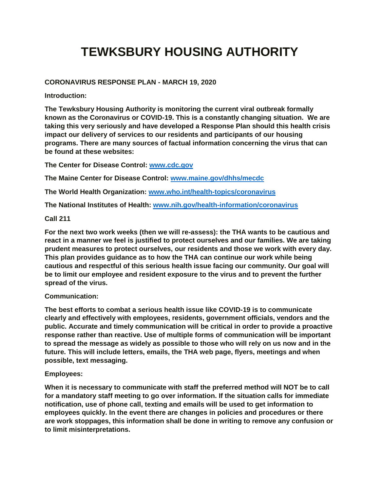# **TEWKSBURY HOUSING AUTHORITY**

## **CORONAVIRUS RESPONSE PLAN - MARCH 19, 2020**

**Introduction:**

**The Tewksbury Housing Authority is monitoring the current viral outbreak formally known as the Coronavirus or COVID-19. This is a constantly changing situation. We are taking this very seriously and have developed a Response Plan should this health crisis impact our delivery of services to our residents and participants of our housing programs. There are many sources of factual information concerning the virus that can be found at these websites:**

**The Center for Disease Control: [www.cdc.gov](http://www.cdc.gov/)**

**The Maine Center for Disease Control: [www.maine.gov/dhhs/mecdc](http://www.maine.gov/dhhs/mecdc)**

**The World Health Organization: [www.who.int/health-topics/coronavirus](http://www.who.int/health-topics/coronavirus)**

**The National Institutes of Health: [www.nih.gov/health-information/coronavirus](http://www.nih.gov/health-information/coronavirus)**

**Call 211**

**For the next two work weeks (then we will re-assess): the THA wants to be cautious and react in a manner we feel is justified to protect ourselves and our families. We are taking prudent measures to protect ourselves, our residents and those we work with every day. This plan provides guidance as to how the THA can continue our work while being cautious and respectful of this serious health issue facing our community. Our goal will be to limit our employee and resident exposure to the virus and to prevent the further spread of the virus.**

## **Communication:**

**The best efforts to combat a serious health issue like COVID-19 is to communicate clearly and effectively with employees, residents, government officials, vendors and the public. Accurate and timely communication will be critical in order to provide a proactive response rather than reactive. Use of multiple forms of communication will be important to spread the message as widely as possible to those who will rely on us now and in the future. This will include letters, emails, the THA web page, flyers, meetings and when possible, text messaging.**

## **Employees:**

**When it is necessary to communicate with staff the preferred method will NOT be to call for a mandatory staff meeting to go over information. If the situation calls for immediate notification, use of phone call, texting and emails will be used to get information to employees quickly. In the event there are changes in policies and procedures or there are work stoppages, this information shall be done in writing to remove any confusion or to limit misinterpretations.**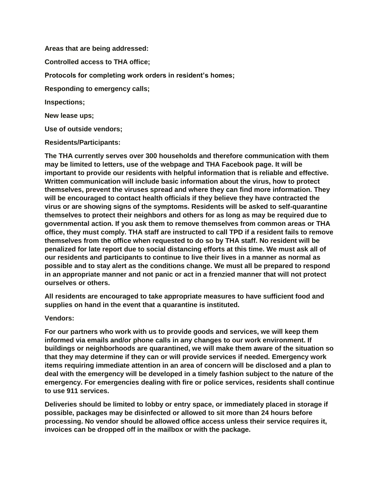**Areas that are being addressed: Controlled access to THA office; Protocols for completing work orders in resident's homes; Responding to emergency calls; Inspections; New lease ups; Use of outside vendors;**

**Residents/Participants:**

**The THA currently serves over 300 households and therefore communication with them may be limited to letters, use of the webpage and THA Facebook page. It will be important to provide our residents with helpful information that is reliable and effective. Written communication will include basic information about the virus, how to protect themselves, prevent the viruses spread and where they can find more information. They will be encouraged to contact health officials if they believe they have contracted the virus or are showing signs of the symptoms. Residents will be asked to self-quarantine themselves to protect their neighbors and others for as long as may be required due to governmental action. If you ask them to remove themselves from common areas or THA office, they must comply. THA staff are instructed to call TPD if a resident fails to remove themselves from the office when requested to do so by THA staff. No resident will be penalized for late report due to social distancing efforts at this time. We must ask all of our residents and participants to continue to live their lives in a manner as normal as possible and to stay alert as the conditions change. We must all be prepared to respond in an appropriate manner and not panic or act in a frenzied manner that will not protect ourselves or others.**

**All residents are encouraged to take appropriate measures to have sufficient food and supplies on hand in the event that a quarantine is instituted.**

**Vendors:**

**For our partners who work with us to provide goods and services, we will keep them informed via emails and/or phone calls in any changes to our work environment. If buildings or neighborhoods are quarantined, we will make them aware of the situation so that they may determine if they can or will provide services if needed. Emergency work items requiring immediate attention in an area of concern will be disclosed and a plan to deal with the emergency will be developed in a timely fashion subject to the nature of the emergency. For emergencies dealing with fire or police services, residents shall continue to use 911 services.**

**Deliveries should be limited to lobby or entry space, or immediately placed in storage if possible, packages may be disinfected or allowed to sit more than 24 hours before processing. No vendor should be allowed office access unless their service requires it, invoices can be dropped off in the mailbox or with the package.**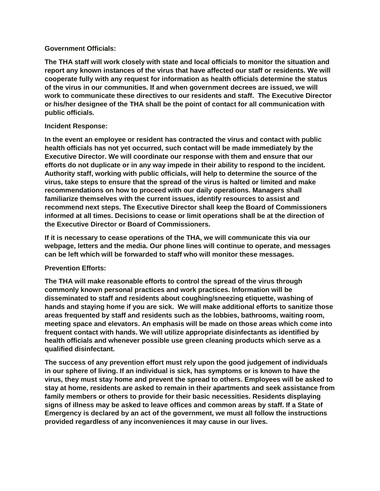#### **Government Officials:**

**The THA staff will work closely with state and local officials to monitor the situation and report any known instances of the virus that have affected our staff or residents. We will cooperate fully with any request for information as health officials determine the status of the virus in our communities. If and when government decrees are issued, we will work to communicate these directives to our residents and staff. The Executive Director or his/her designee of the THA shall be the point of contact for all communication with public officials.**

## **Incident Response:**

**In the event an employee or resident has contracted the virus and contact with public health officials has not yet occurred, such contact will be made immediately by the Executive Director. We will coordinate our response with them and ensure that our efforts do not duplicate or in any way impede in their ability to respond to the incident. Authority staff, working with public officials, will help to determine the source of the virus, take steps to ensure that the spread of the virus is halted or limited and make recommendations on how to proceed with our daily operations. Managers shall familiarize themselves with the current issues, identify resources to assist and recommend next steps. The Executive Director shall keep the Board of Commissioners informed at all times. Decisions to cease or limit operations shall be at the direction of the Executive Director or Board of Commissioners.** 

**If it is necessary to cease operations of the THA, we will communicate this via our webpage, letters and the media. Our phone lines will continue to operate, and messages can be left which will be forwarded to staff who will monitor these messages.**

## **Prevention Efforts:**

**The THA will make reasonable efforts to control the spread of the virus through commonly known personal practices and work practices. Information will be disseminated to staff and residents about coughing/sneezing etiquette, washing of hands and staying home if you are sick. We will make additional efforts to sanitize those areas frequented by staff and residents such as the lobbies, bathrooms, waiting room, meeting space and elevators. An emphasis will be made on those areas which come into frequent contact with hands. We will utilize appropriate disinfectants as identified by health officials and whenever possible use green cleaning products which serve as a qualified disinfectant.** 

**The success of any prevention effort must rely upon the good judgement of individuals in our sphere of living. If an individual is sick, has symptoms or is known to have the virus, they must stay home and prevent the spread to others. Employees will be asked to stay at home, residents are asked to remain in their apartments and seek assistance from family members or others to provide for their basic necessities. Residents displaying signs of illness may be asked to leave offices and common areas by staff. If a State of Emergency is declared by an act of the government, we must all follow the instructions provided regardless of any inconveniences it may cause in our lives.**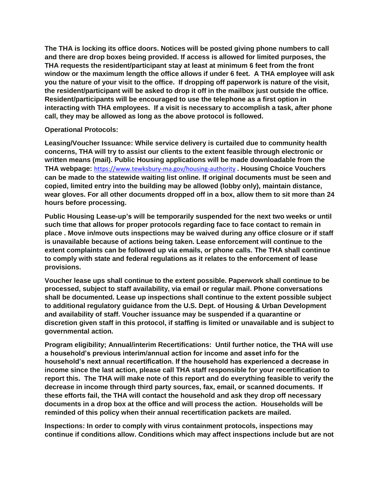**The THA is locking its office doors. Notices will be posted giving phone numbers to call and there are drop boxes being provided. If access is allowed for limited purposes, the THA requests the resident/participant stay at least at minimum 6 feet from the front window or the maximum length the office allows if under 6 feet. A THA employee will ask you the nature of your visit to the office. If dropping off paperwork is nature of the visit, the resident/participant will be asked to drop it off in the mailbox just outside the office. Resident/participants will be encouraged to use the telephone as a first option in interacting with THA employees. If a visit is necessary to accomplish a task, after phone call, they may be allowed as long as the above protocol is followed.**

## **Operational Protocols:**

**Leasing/Voucher Issuance: While service delivery is curtailed due to community health concerns, THA will try to assist our clients to the extent feasible through electronic or written means (mail). Public Housing applications will be made downloadable from the THA webpage:** <https://www.tewksbury-ma.gov/housing-authority> **. Housing Choice Vouchers can be made to the statewide waiting list online. If original documents must be seen and copied, limited entry into the building may be allowed (lobby only), maintain distance, wear gloves. For all other documents dropped off in a box, allow them to sit more than 24 hours before processing.**

**Public Housing Lease-up's will be temporarily suspended for the next two weeks or until such time that allows for proper protocols regarding face to face contact to remain in place . Move in/move outs inspections may be waived during any office closure or if staff is unavailable because of actions being taken. Lease enforcement will continue to the extent complaints can be followed up via emails, or phone calls. The THA shall continue to comply with state and federal regulations as it relates to the enforcement of lease provisions.**

**Voucher lease ups shall continue to the extent possible. Paperwork shall continue to be processed, subject to staff availability, via email or regular mail. Phone conversations shall be documented. Lease up inspections shall continue to the extent possible subject to additional regulatory guidance from the U.S. Dept. of Housing & Urban Development and availability of staff. Voucher issuance may be suspended if a quarantine or discretion given staff in this protocol, if staffing is limited or unavailable and is subject to governmental action.**

**Program eligibility; Annual/interim Recertifications: Until further notice, the THA will use a household's previous interim/annual action for income and asset info for the household's next annual recertification. If the household has experienced a decrease in income since the last action, please call THA staff responsible for your recertification to report this. The THA will make note of this report and do everything feasible to verify the decrease in income through third party sources, fax, email, or scanned documents. If these efforts fail, the THA will contact the household and ask they drop off necessary documents in a drop box at the office and will process the action. Households will be reminded of this policy when their annual recertification packets are mailed.**

**Inspections: In order to comply with virus containment protocols, inspections may continue if conditions allow. Conditions which may affect inspections include but are not**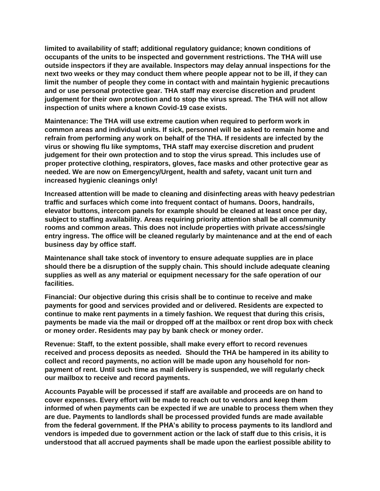**limited to availability of staff; additional regulatory guidance; known conditions of occupants of the units to be inspected and government restrictions. The THA will use outside inspectors if they are available. Inspectors may delay annual inspections for the next two weeks or they may conduct them where people appear not to be ill, if they can limit the number of people they come in contact with and maintain hygienic precautions and or use personal protective gear. THA staff may exercise discretion and prudent judgement for their own protection and to stop the virus spread. The THA will not allow inspection of units where a known Covid-19 case exists.**

**Maintenance: The THA will use extreme caution when required to perform work in common areas and individual units. If sick, personnel will be asked to remain home and refrain from performing any work on behalf of the THA. If residents are infected by the virus or showing flu like symptoms, THA staff may exercise discretion and prudent judgement for their own protection and to stop the virus spread. This includes use of proper protective clothing, respirators, gloves, face masks and other protective gear as needed. We are now on Emergency/Urgent, health and safety, vacant unit turn and increased hygienic cleanings only!**

**Increased attention will be made to cleaning and disinfecting areas with heavy pedestrian traffic and surfaces which come into frequent contact of humans. Doors, handrails, elevator buttons, intercom panels for example should be cleaned at least once per day, subject to staffing availability. Areas requiring priority attention shall be all community rooms and common areas. This does not include properties with private access/single entry ingress. The office will be cleaned regularly by maintenance and at the end of each business day by office staff.**

**Maintenance shall take stock of inventory to ensure adequate supplies are in place should there be a disruption of the supply chain. This should include adequate cleaning supplies as well as any material or equipment necessary for the safe operation of our facilities.**

**Financial: Our objective during this crisis shall be to continue to receive and make payments for good and services provided and or delivered. Residents are expected to continue to make rent payments in a timely fashion. We request that during this crisis, payments be made via the mail or dropped off at the mailbox or rent drop box with check or money order. Residents may pay by bank check or money order.** 

**Revenue: Staff, to the extent possible, shall make every effort to record revenues received and process deposits as needed. Should the THA be hampered in its ability to collect and record payments, no action will be made upon any household for nonpayment of rent. Until such time as mail delivery is suspended, we will regularly check our mailbox to receive and record payments.** 

**Accounts Payable will be processed if staff are available and proceeds are on hand to cover expenses. Every effort will be made to reach out to vendors and keep them informed of when payments can be expected if we are unable to process them when they are due. Payments to landlords shall be processed provided funds are made available from the federal government. If the PHA's ability to process payments to its landlord and vendors is impeded due to government action or the lack of staff due to this crisis, it is understood that all accrued payments shall be made upon the earliest possible ability to**